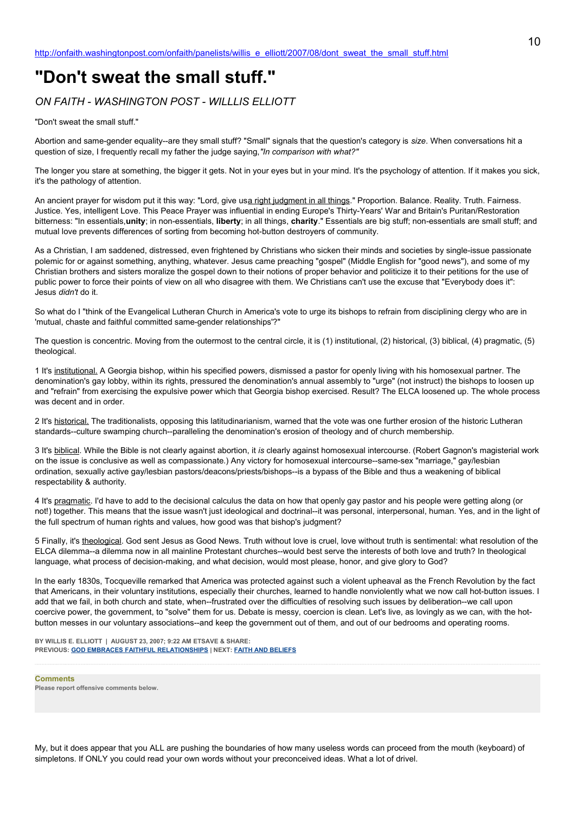## **"Don't sweat the small stuff."**

*ON FAITH - WASHINGTON POST - WILLLIS ELLIOTT*

"Don't sweat the small stuff."

Abortion and same-gender equality--are they small stuff? "Small" signals that the question's category is *size*. When conversations hit a question of size, I frequently recall my father the judge saying,*"In comparison with what?"*

The longer you stare at something, the bigger it gets. Not in your eyes but in your mind. It's the psychology of attention. If it makes you sick, it's the pathology of attention.

An ancient prayer for wisdom put it this way: "Lord, give usa right judgment in all things." Proportion. Balance. Reality. Truth. Fairness. Justice. Yes, intelligent Love. This Peace Prayer was influential in ending Europe's Thirty-Years' War and Britain's Puritan/Restoration bitterness: "In essentials,**unity**; in non-essentials, **liberty**; in all things, **charity**." Essentials are big stuff; non-essentials are small stuff; and mutual love prevents differences of sorting from becoming hot-button destroyers of community.

As a Christian, I am saddened, distressed, even frightened by Christians who sicken their minds and societies by single-issue passionate polemic for or against something, anything, whatever. Jesus came preaching "gospel" (Middle English for "good news"), and some of my Christian brothers and sisters moralize the gospel down to their notions of proper behavior and politicize it to their petitions for the use of public power to force their points of view on all who disagree with them. We Christians can't use the excuse that "Everybody does it": Jesus *didn't* do it.

So what do I "think of the Evangelical Lutheran Church in America's vote to urge its bishops to refrain from disciplining clergy who are in 'mutual, chaste and faithful committed same-gender relationships'?"

The question is concentric. Moving from the outermost to the central circle, it is (1) institutional, (2) historical, (3) biblical, (4) pragmatic, (5) theological.

1 It's institutional. A Georgia bishop, within his specified powers, dismissed a pastor for openly living with his homosexual partner. The denomination's gay lobby, within its rights, pressured the denomination's annual assembly to "urge" (not instruct) the bishops to loosen up and "refrain" from exercising the expulsive power which that Georgia bishop exercised. Result? The ELCA loosened up. The whole process was decent and in order.

2 It's historical. The traditionalists, opposing this latitudinarianism, warned that the vote was one further erosion of the historic Lutheran standards--culture swamping church--paralleling the denomination's erosion of theology and of church membership.

3 It's biblical. While the Bible is not clearly against abortion, it *is* clearly against homosexual intercourse. (Robert Gagnon's magisterial work on the issue is conclusive as well as compassionate.) Any victory for homosexual intercourse--same-sex "marriage," gay/lesbian ordination, sexually active gay/lesbian pastors/deacons/priests/bishops--is a bypass of the Bible and thus a weakening of biblical respectability & authority.

4 It's pragmatic. I'd have to add to the decisional calculus the data on how that openly gay pastor and his people were getting along (or not!) together. This means that the issue wasn't just ideological and doctrinal--it was personal, interpersonal, human. Yes, and in the light of the full spectrum of human rights and values, how good was that bishop's judgment?

5 Finally, it's theological. God sent Jesus as Good News. Truth without love is cruel, love without truth is sentimental: what resolution of the ELCA dilemma--a dilemma now in all mainline Protestant churches--would best serve the interests of both love and truth? In theological language, what process of decision-making, and what decision, would most please, honor, and give glory to God?

In the early 1830s, Tocqueville remarked that America was protected against such a violent upheaval as the French Revolution by the fact that Americans, in their voluntary institutions, especially their churches, learned to handle nonviolently what we now call hot-button issues. I add that we fail, in both church and state, when--frustrated over the difficulties of resolving such issues by deliberation--we call upon coercive power, the government, to "solve" them for us. Debate is messy, coercion is clean. Let's live, as lovingly as we can, with the hotbutton messes in our voluntary associations--and keep the government out of them, and out of our bedrooms and operating rooms.

**BY WILLIS E. ELLIOTT | AUGUST 23, 2007; 9:22 AM ETSAVE & SHARE: PREVIOUS: [GOD EMBRACES FAITHFUL RELATIONSHIPS](http://onfaith.washingtonpost.com/onfaith/panelists/david_saperstein/2007/08/god_embraces_faithful_relation.html) | NEXT: [FAITH AND BELIEFS](http://onfaith.washingtonpost.com/onfaith/panelists/mark_s_sisk/2007/08/faith_and_beliefs.html)**

**Comments Please report offensive comments below.**

My, but it does appear that you ALL are pushing the boundaries of how many useless words can proceed from the mouth (keyboard) of simpletons. If ONLY you could read your own words without your preconceived ideas. What a lot of drivel.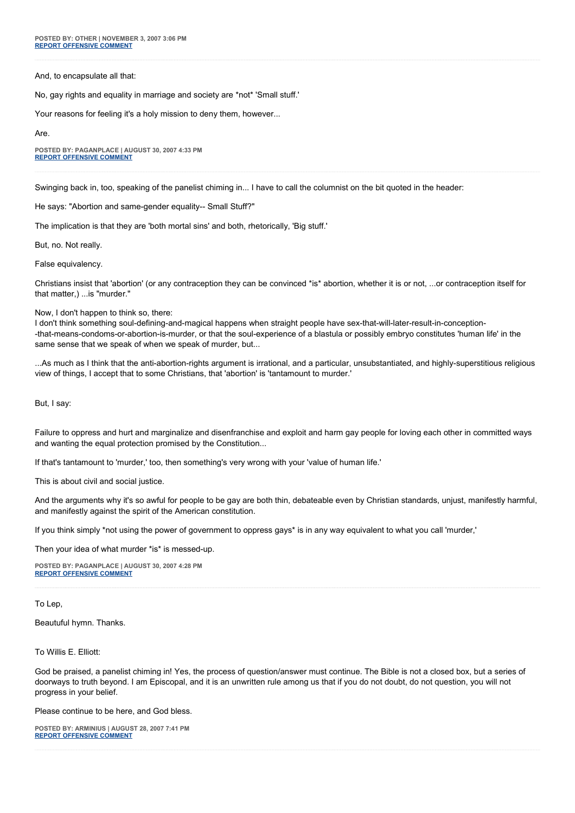And, to encapsulate all that:

No, gay rights and equality in marriage and society are \*not\* 'Small stuff.'

Your reasons for feeling it's a holy mission to deny them, however...

Are.

**POSTED BY: PAGANPLACE | AUGUST 30, 2007 4:33 PM [REPORT OFFENSIVE COMMENT](mailto:blogs@washingtonpost.com?subject=On%20Faith%20Panelists%20Blog%20%20%7C%20%20Paganplace%20%20%7C%20%20)**

Swinging back in, too, speaking of the panelist chiming in... I have to call the columnist on the bit quoted in the header:

He says: "Abortion and same-gender equality-- Small Stuff?"

The implication is that they are 'both mortal sins' and both, rhetorically, 'Big stuff.'

But, no. Not really.

False equivalency.

Christians insist that 'abortion' (or any contraception they can be convinced \*is\* abortion, whether it is or not, ...or contraception itself for that matter,) ...is "murder."

Now, I don't happen to think so, there:

I don't think something soul-defining-and-magical happens when straight people have sex-that-will-later-result-in-conception- -that-means-condoms-or-abortion-is-murder, or that the soul-experience of a blastula or possibly embryo constitutes 'human life' in the same sense that we speak of when we speak of murder, but...

...As much as I think that the anti-abortion-rights argument is irrational, and a particular, unsubstantiated, and highly-superstitious religious view of things, I accept that to some Christians, that 'abortion' is 'tantamount to murder.'

But, I say:

Failure to oppress and hurt and marginalize and disenfranchise and exploit and harm gay people for loving each other in committed ways and wanting the equal protection promised by the Constitution...

If that's tantamount to 'murder,' too, then something's very wrong with your 'value of human life.'

This is about civil and social justice.

And the arguments why it's so awful for people to be gay are both thin, debateable even by Christian standards, unjust, manifestly harmful, and manifestly against the spirit of the American constitution.

If you think simply \*not using the power of government to oppress gays\* is in any way equivalent to what you call 'murder,'

Then your idea of what murder \*is\* is messed-up.

**POSTED BY: PAGANPLACE | AUGUST 30, 2007 4:28 PM [REPORT OFFENSIVE COMMENT](mailto:blogs@washingtonpost.com?subject=On%20Faith%20Panelists%20Blog%20%20%7C%20%20Paganplace%20%20%7C%20%20)**

To Lep,

Beautuful hymn. Thanks.

To Willis E. Elliott:

God be praised, a panelist chiming in! Yes, the process of question/answer must continue. The Bible is not a closed box, but a series of doorways to truth beyond. I am Episcopal, and it is an unwritten rule among us that if you do not doubt, do not question, you will not progress in your belief.

Please continue to be here, and God bless.

**POSTED BY: ARMINIUS | AUGUST 28, 2007 7:41 PM [REPORT OFFENSIVE COMMENT](mailto:blogs@washingtonpost.com?subject=On%20Faith%20Panelists%20Blog%20%20%7C%20%20Arminius%20%20%7C%20%20)**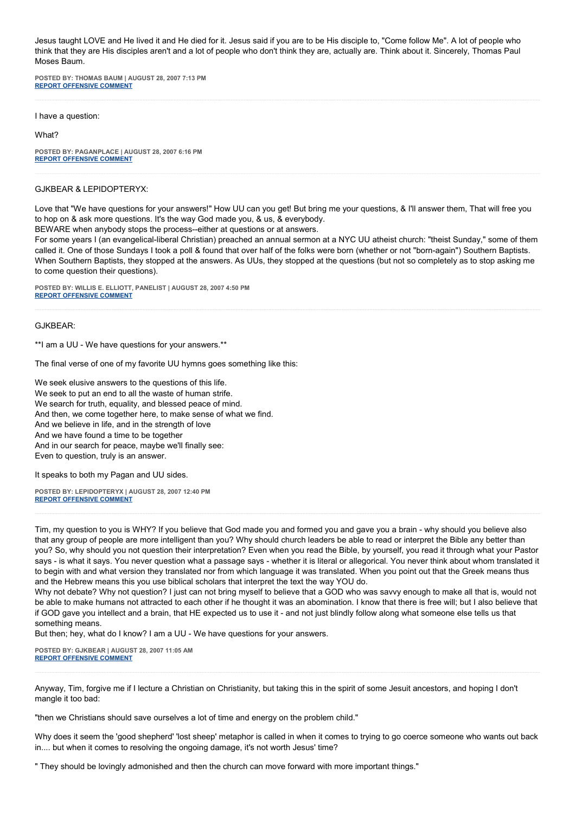Jesus taught LOVE and He lived it and He died for it. Jesus said if you are to be His disciple to, "Come follow Me". A lot of people who think that they are His disciples aren't and a lot of people who don't think they are, actually are. Think about it. Sincerely, Thomas Paul Moses Baum.

**POSTED BY: THOMAS BAUM | AUGUST 28, 2007 7:13 PM [REPORT OFFENSIVE COMMENT](mailto:blogs@washingtonpost.com?subject=On%20Faith%20Panelists%20Blog%20%20%7C%20%20Thomas%20Baum%20%20%7C%20%20)**

I have a question:

What?

**POSTED BY: PAGANPLACE | AUGUST 28, 2007 6:16 PM [REPORT OFFENSIVE COMMENT](mailto:blogs@washingtonpost.com?subject=On%20Faith%20Panelists%20Blog%20%20%7C%20%20Paganplace%20%20%7C%20%20)**

## GJKBEAR & LEPIDOPTERYX:

Love that "We have questions for your answers!" How UU can you get! But bring me your questions, & I'll answer them, That will free you to hop on & ask more questions. It's the way God made you, & us, & everybody.

BEWARE when anybody stops the process--either at questions or at answers.

For some years I (an evangelical-liberal Christian) preached an annual sermon at a NYC UU atheist church: "theist Sunday," some of them called it. One of those Sundays I took a poll & found that over half of the folks were born (whether or not "born-again") Southern Baptists. When Southern Baptists, they stopped at the answers. As UUs, they stopped at the questions (but not so completely as to stop asking me to come question their questions).

**POSTED BY: WILLIS E. ELLIOTT, PANELIST | AUGUST 28, 2007 4:50 PM [REPORT OFFENSIVE COMMENT](mailto:blogs@washingtonpost.com?subject=On%20Faith%20Panelists%20Blog%20%20%7C%20%20Willis%20E.%20Elliott,%20panelist%20%20%7C%20%20)**

GJKBEAR:

\*\*I am a UU - We have questions for your answers.\*\*

The final verse of one of my favorite UU hymns goes something like this:

We seek elusive answers to the questions of this life. We seek to put an end to all the waste of human strife. We search for truth, equality, and blessed peace of mind. And then, we come together here, to make sense of what we find. And we believe in life, and in the strength of love And we have found a time to be together And in our search for peace, maybe we'll finally see: Even to question, truly is an answer.

It speaks to both my Pagan and UU sides.

**POSTED BY: LEPIDOPTERYX | AUGUST 28, 2007 12:40 PM [REPORT OFFENSIVE COMMENT](mailto:blogs@washingtonpost.com?subject=On%20Faith%20Panelists%20Blog%20%20%7C%20%20lepidopteryx%20%20%7C%20%20)**

Tim, my question to you is WHY? If you believe that God made you and formed you and gave you a brain - why should you believe also that any group of people are more intelligent than you? Why should church leaders be able to read or interpret the Bible any better than you? So, why should you not question their interpretation? Even when you read the Bible, by yourself, you read it through what your Pastor says - is what it says. You never question what a passage says - whether it is literal or allegorical. You never think about whom translated it to begin with and what version they translated nor from which language it was translated. When you point out that the Greek means thus and the Hebrew means this you use biblical scholars that interpret the text the way YOU do.

Why not debate? Why not question? I just can not bring myself to believe that a GOD who was savvy enough to make all that is, would not be able to make humans not attracted to each other if he thought it was an abomination. I know that there is free will; but I also believe that if GOD gave you intellect and a brain, that HE expected us to use it - and not just blindly follow along what someone else tells us that something means.

But then; hey, what do I know? I am a UU - We have questions for your answers.

**POSTED BY: GJKBEAR | AUGUST 28, 2007 11:05 AM [REPORT OFFENSIVE COMMENT](mailto:blogs@washingtonpost.com?subject=On%20Faith%20Panelists%20Blog%20%20%7C%20%20GJKBEAR%20%20%7C%20%20)**

Anyway, Tim, forgive me if I lecture a Christian on Christianity, but taking this in the spirit of some Jesuit ancestors, and hoping I don't mangle it too bad:

"then we Christians should save ourselves a lot of time and energy on the problem child."

Why does it seem the 'good shepherd' 'lost sheep' metaphor is called in when it comes to trying to go coerce someone who wants out back in.... but when it comes to resolving the ongoing damage, it's not worth Jesus' time?

" They should be lovingly admonished and then the church can move forward with more important things."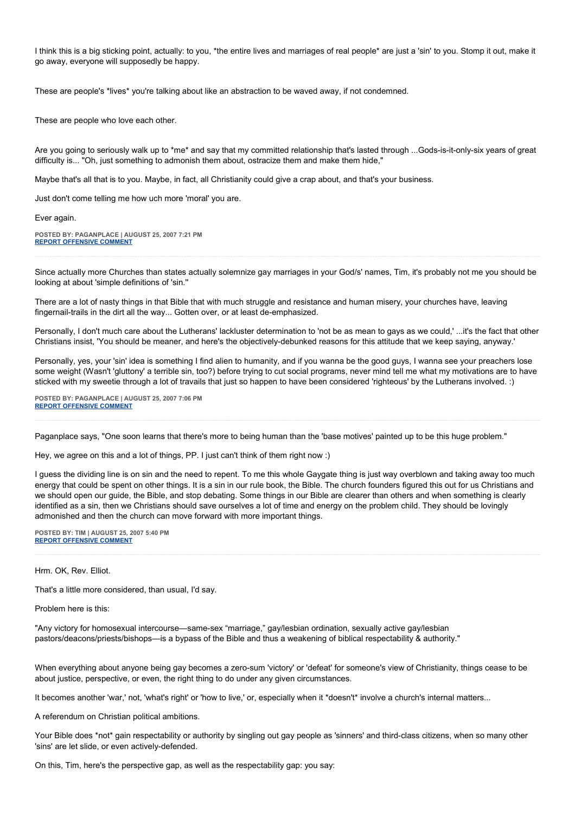I think this is a big sticking point, actually: to you, \*the entire lives and marriages of real people\* are just a 'sin' to you. Stomp it out, make it go away, everyone will supposedly be happy.

These are people's \*lives\* you're talking about like an abstraction to be waved away, if not condemned.

These are people who love each other.

Are you going to seriously walk up to \*me\* and say that my committed relationship that's lasted through ...Gods-is-it-only-six years of great difficulty is... "Oh, just something to admonish them about, ostracize them and make them hide,"

Maybe that's all that is to you. Maybe, in fact, all Christianity could give a crap about, and that's your business.

Just don't come telling me how uch more 'moral' you are.

Ever again.

**POSTED BY: PAGANPLACE | AUGUST 25, 2007 7:21 PM [REPORT OFFENSIVE COMMENT](mailto:blogs@washingtonpost.com?subject=On%20Faith%20Panelists%20Blog%20%20%7C%20%20Paganplace%20%20%7C%20%20)**

Since actually more Churches than states actually solemnize gay marriages in your God/s' names, Tim, it's probably not me you should be looking at about 'simple definitions of 'sin.''

There are a lot of nasty things in that Bible that with much struggle and resistance and human misery, your churches have, leaving fingernail-trails in the dirt all the way... Gotten over, or at least de-emphasized.

Personally, I don't much care about the Lutherans' lackluster determination to 'not be as mean to gays as we could,' ...it's the fact that other Christians insist, 'You should be meaner, and here's the objectively-debunked reasons for this attitude that we keep saying, anyway.'

Personally, yes, your 'sin' idea is something I find alien to humanity, and if you wanna be the good guys, I wanna see your preachers lose some weight (Wasn't 'gluttony' a terrible sin, too?) before trying to cut social programs, never mind tell me what my motivations are to have sticked with my sweetie through a lot of travails that just so happen to have been considered 'righteous' by the Lutherans involved. :)

**POSTED BY: PAGANPLACE | AUGUST 25, 2007 7:06 PM [REPORT OFFENSIVE COMMENT](mailto:blogs@washingtonpost.com?subject=On%20Faith%20Panelists%20Blog%20%20%7C%20%20Paganplace%20%20%7C%20%20)**

Paganplace says, "One soon learns that there's more to being human than the 'base motives' painted up to be this huge problem."

Hey, we agree on this and a lot of things, PP. I just can't think of them right now :)

I guess the dividing line is on sin and the need to repent. To me this whole Gaygate thing is just way overblown and taking away too much energy that could be spent on other things. It is a sin in our rule book, the Bible. The church founders figured this out for us Christians and we should open our guide, the Bible, and stop debating. Some things in our Bible are clearer than others and when something is clearly identified as a sin, then we Christians should save ourselves a lot of time and energy on the problem child. They should be lovingly admonished and then the church can move forward with more important things.

**POSTED BY: TIM | AUGUST 25, 2007 5:40 PM [REPORT OFFENSIVE COMMENT](mailto:blogs@washingtonpost.com?subject=On%20Faith%20Panelists%20Blog%20%20%7C%20%20Tim%20%20%7C%20%20)**

Hrm. OK, Rev. Elliot.

That's a little more considered, than usual, I'd say.

Problem here is this:

"Any victory for homosexual intercourse—same-sex "marriage," gay/lesbian ordination, sexually active gay/lesbian pastors/deacons/priests/bishops—is a bypass of the Bible and thus a weakening of biblical respectability & authority."

When everything about anyone being gay becomes a zero-sum 'victory' or 'defeat' for someone's view of Christianity, things cease to be about justice, perspective, or even, the right thing to do under any given circumstances.

It becomes another 'war,' not, 'what's right' or 'how to live,' or, especially when it \*doesn't\* involve a church's internal matters...

A referendum on Christian political ambitions.

Your Bible does \*not\* gain respectability or authority by singling out gay people as 'sinners' and third-class citizens, when so many other 'sins' are let slide, or even actively-defended.

On this, Tim, here's the perspective gap, as well as the respectability gap: you say: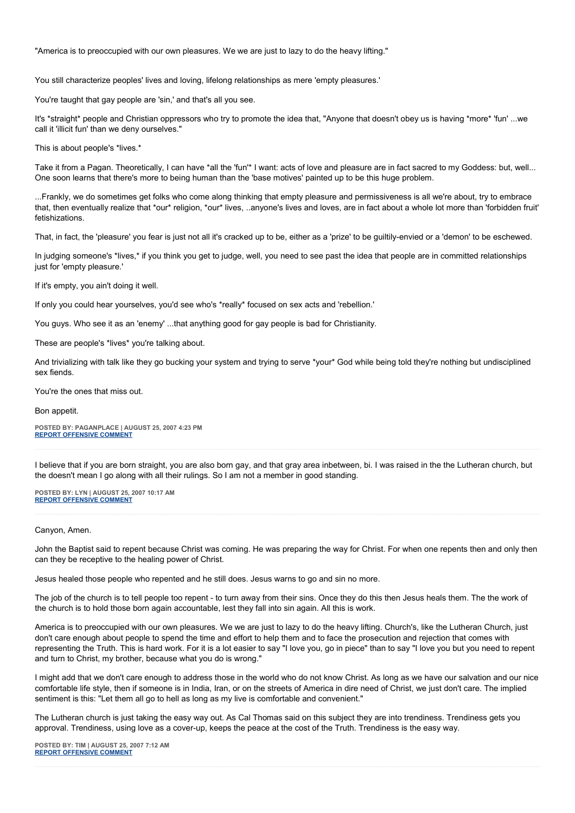"America is to preoccupied with our own pleasures. We we are just to lazy to do the heavy lifting."

You still characterize peoples' lives and loving, lifelong relationships as mere 'empty pleasures.'

You're taught that gay people are 'sin,' and that's all you see.

It's \*straight\* people and Christian oppressors who try to promote the idea that, "Anyone that doesn't obey us is having \*more\* 'fun' ...we call it 'illicit fun' than we deny ourselves."

This is about people's \*lives.\*

Take it from a Pagan. Theoretically, I can have \*all the 'fun'\* I want: acts of love and pleasure are in fact sacred to my Goddess: but, well... One soon learns that there's more to being human than the 'base motives' painted up to be this huge problem.

...Frankly, we do sometimes get folks who come along thinking that empty pleasure and permissiveness is all we're about, try to embrace that, then eventually realize that \*our\* religion, \*our\* lives, ..anyone's lives and loves, are in fact about a whole lot more than 'forbidden fruit' fetishizations.

That, in fact, the 'pleasure' you fear is just not all it's cracked up to be, either as a 'prize' to be guiltily-envied or a 'demon' to be eschewed.

In judging someone's \*lives,\* if you think you get to judge, well, you need to see past the idea that people are in committed relationships just for 'empty pleasure.'

If it's empty, you ain't doing it well.

If only you could hear yourselves, you'd see who's \*really\* focused on sex acts and 'rebellion.'

You guys. Who see it as an 'enemy' ...that anything good for gay people is bad for Christianity.

These are people's \*lives\* you're talking about.

And trivializing with talk like they go bucking your system and trying to serve \*your\* God while being told they're nothing but undisciplined sex fiends.

You're the ones that miss out.

Bon appetit.

**POSTED BY: PAGANPLACE | AUGUST 25, 2007 4:23 PM [REPORT OFFENSIVE COMMENT](mailto:blogs@washingtonpost.com?subject=On%20Faith%20Panelists%20Blog%20%20%7C%20%20Paganplace%20%20%7C%20%20)**

I believe that if you are born straight, you are also born gay, and that gray area inbetween, bi. I was raised in the the Lutheran church, but the doesn't mean I go along with all their rulings. So I am not a member in good standing.

**POSTED BY: LYN | AUGUST 25, 2007 10:17 AM [REPORT OFFENSIVE COMMENT](mailto:blogs@washingtonpost.com?subject=On%20Faith%20Panelists%20Blog%20%20%7C%20%20Lyn%20%20%7C%20%20)**

## Canyon, Amen.

John the Baptist said to repent because Christ was coming. He was preparing the way for Christ. For when one repents then and only then can they be receptive to the healing power of Christ.

Jesus healed those people who repented and he still does. Jesus warns to go and sin no more.

The job of the church is to tell people too repent - to turn away from their sins. Once they do this then Jesus heals them. The the work of the church is to hold those born again accountable, lest they fall into sin again. All this is work.

America is to preoccupied with our own pleasures. We we are just to lazy to do the heavy lifting. Church's, like the Lutheran Church, just don't care enough about people to spend the time and effort to help them and to face the prosecution and rejection that comes with representing the Truth. This is hard work. For it is a lot easier to say "I love you, go in piece" than to say "I love you but you need to repent and turn to Christ, my brother, because what you do is wrong."

I might add that we don't care enough to address those in the world who do not know Christ. As long as we have our salvation and our nice comfortable life style, then if someone is in India, Iran, or on the streets of America in dire need of Christ, we just don't care. The implied sentiment is this: "Let them all go to hell as long as my live is comfortable and convenient."

The Lutheran church is just taking the easy way out. As Cal Thomas said on this subject they are into trendiness. Trendiness gets you approval. Trendiness, using love as a cover-up, keeps the peace at the cost of the Truth. Trendiness is the easy way.

**POSTED BY: TIM | AUGUST 25, 2007 7:12 AM [REPORT OFFENSIVE COMMENT](mailto:blogs@washingtonpost.com?subject=On%20Faith%20Panelists%20Blog%20%20%7C%20%20Tim%20%20%7C%20%20)**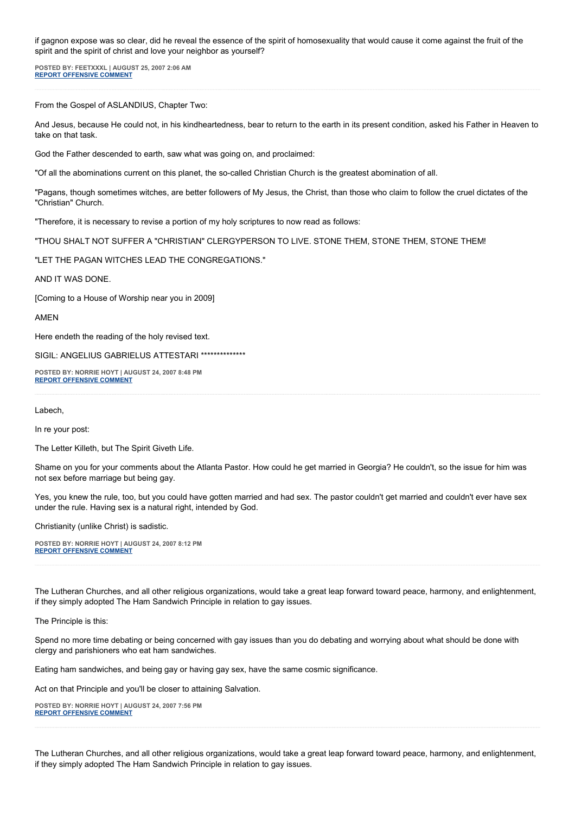if gagnon expose was so clear, did he reveal the essence of the spirit of homosexuality that would cause it come against the fruit of the spirit and the spirit of christ and love your neighbor as yourself?

**POSTED BY: FEETXXXL | AUGUST 25, 2007 2:06 AM [REPORT OFFENSIVE COMMENT](mailto:blogs@washingtonpost.com?subject=On%20Faith%20Panelists%20Blog%20%20%7C%20%20feetxxxl%20%20%7C%20%20)**

From the Gospel of ASLANDIUS, Chapter Two:

And Jesus, because He could not, in his kindheartedness, bear to return to the earth in its present condition, asked his Father in Heaven to take on that task.

God the Father descended to earth, saw what was going on, and proclaimed:

"Of all the abominations current on this planet, the so-called Christian Church is the greatest abomination of all.

"Pagans, though sometimes witches, are better followers of My Jesus, the Christ, than those who claim to follow the cruel dictates of the "Christian" Church.

"Therefore, it is necessary to revise a portion of my holy scriptures to now read as follows:

"THOU SHALT NOT SUFFER A "CHRISTIAN" CLERGYPERSON TO LIVE. STONE THEM, STONE THEM, STONE THEM!

"LET THE PAGAN WITCHES LEAD THE CONGREGATIONS."

AND IT WAS DONE.

[Coming to a House of Worship near you in 2009]

AMEN

Here endeth the reading of the holy revised text.

SIGIL: ANGELIUS GABRIELUS ATTESTARI \*\*\*\*\*\*\*\*\*\*\*\*\*\*\*

**POSTED BY: NORRIE HOYT | AUGUST 24, 2007 8:48 PM [REPORT OFFENSIVE COMMENT](mailto:blogs@washingtonpost.com?subject=On%20Faith%20Panelists%20Blog%20%20%7C%20%20Norrie%20Hoyt%20%20%7C%20%20)**

Labech,

In re your post:

The Letter Killeth, but The Spirit Giveth Life.

Shame on you for your comments about the Atlanta Pastor. How could he get married in Georgia? He couldn't, so the issue for him was not sex before marriage but being gay.

Yes, you knew the rule, too, but you could have gotten married and had sex. The pastor couldn't get married and couldn't ever have sex under the rule. Having sex is a natural right, intended by God.

Christianity (unlike Christ) is sadistic.

**POSTED BY: NORRIE HOYT | AUGUST 24, 2007 8:12 PM [REPORT OFFENSIVE COMMENT](mailto:blogs@washingtonpost.com?subject=On%20Faith%20Panelists%20Blog%20%20%7C%20%20Norrie%20Hoyt%20%20%7C%20%20)**

The Lutheran Churches, and all other religious organizations, would take a great leap forward toward peace, harmony, and enlightenment, if they simply adopted The Ham Sandwich Principle in relation to gay issues.

The Principle is this:

Spend no more time debating or being concerned with gay issues than you do debating and worrying about what should be done with clergy and parishioners who eat ham sandwiches.

Eating ham sandwiches, and being gay or having gay sex, have the same cosmic significance.

Act on that Principle and you'll be closer to attaining Salvation.

**POSTED BY: NORRIE HOYT | AUGUST 24, 2007 7:56 PM [REPORT OFFENSIVE COMMENT](mailto:blogs@washingtonpost.com?subject=On%20Faith%20Panelists%20Blog%20%20%7C%20%20Norrie%20Hoyt%20%20%7C%20%20)**

The Lutheran Churches, and all other religious organizations, would take a great leap forward toward peace, harmony, and enlightenment, if they simply adopted The Ham Sandwich Principle in relation to gay issues.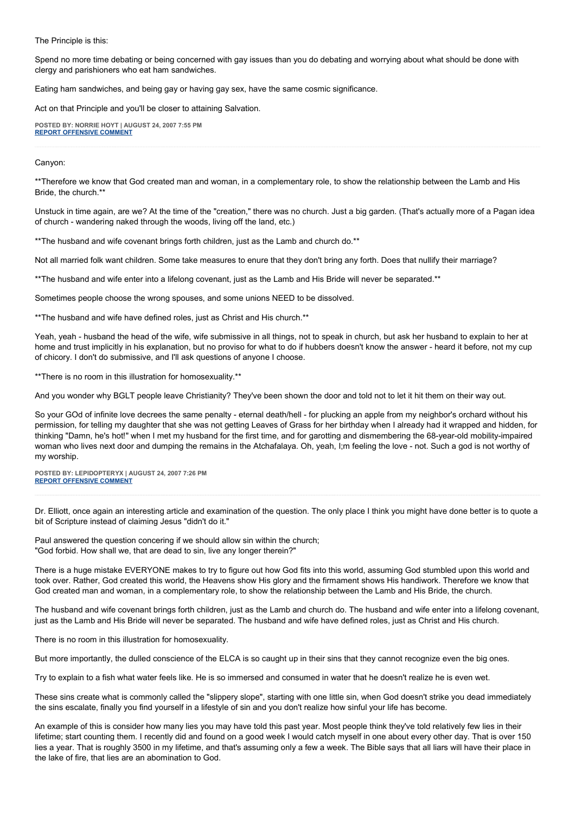The Principle is this:

Spend no more time debating or being concerned with gay issues than you do debating and worrying about what should be done with clergy and parishioners who eat ham sandwiches.

Eating ham sandwiches, and being gay or having gay sex, have the same cosmic significance.

Act on that Principle and you'll be closer to attaining Salvation.

**POSTED BY: NORRIE HOYT | AUGUST 24, 2007 7:55 PM [REPORT OFFENSIVE COMMENT](mailto:blogs@washingtonpost.com?subject=On%20Faith%20Panelists%20Blog%20%20%7C%20%20Norrie%20Hoyt%20%20%7C%20%20)**

Canyon:

\*\*Therefore we know that God created man and woman, in a complementary role, to show the relationship between the Lamb and His Bride, the church.\*\*

Unstuck in time again, are we? At the time of the "creation," there was no church. Just a big garden. (That's actually more of a Pagan idea of church - wandering naked through the woods, living off the land, etc.)

\*\*The husband and wife covenant brings forth children, just as the Lamb and church do.\*\*

Not all married folk want children. Some take measures to enure that they don't bring any forth. Does that nullify their marriage?

\*\*The husband and wife enter into a lifelong covenant, just as the Lamb and His Bride will never be separated.\*\*

Sometimes people choose the wrong spouses, and some unions NEED to be dissolved.

\*\*The husband and wife have defined roles, just as Christ and His church.\*\*

Yeah, yeah - husband the head of the wife, wife submissive in all things, not to speak in church, but ask her husband to explain to her at home and trust implicitly in his explanation, but no proviso for what to do if hubbers doesn't know the answer - heard it before, not my cup of chicory. I don't do submissive, and I'll ask questions of anyone I choose.

\*\*There is no room in this illustration for homosexuality.\*\*

And you wonder why BGLT people leave Christianity? They've been shown the door and told not to let it hit them on their way out.

So your GOd of infinite love decrees the same penalty - eternal death/hell - for plucking an apple from my neighbor's orchard without his permission, for telling my daughter that she was not getting Leaves of Grass for her birthday when I already had it wrapped and hidden, for thinking "Damn, he's hot!" when I met my husband for the first time, and for garotting and dismembering the 68-year-old mobility-impaired woman who lives next door and dumping the remains in the Atchafalaya. Oh, yeah, I;m feeling the love - not. Such a god is not worthy of my worship.

**POSTED BY: LEPIDOPTERYX | AUGUST 24, 2007 7:26 PM [REPORT OFFENSIVE COMMENT](mailto:blogs@washingtonpost.com?subject=On%20Faith%20Panelists%20Blog%20%20%7C%20%20lepidopteryx%20%20%7C%20%20)**

Dr. Elliott, once again an interesting article and examination of the question. The only place I think you might have done better is to quote a bit of Scripture instead of claiming Jesus "didn't do it."

Paul answered the question concering if we should allow sin within the church; "God forbid. How shall we, that are dead to sin, live any longer therein?"

There is a huge mistake EVERYONE makes to try to figure out how God fits into this world, assuming God stumbled upon this world and took over. Rather, God created this world, the Heavens show His glory and the firmament shows His handiwork. Therefore we know that God created man and woman, in a complementary role, to show the relationship between the Lamb and His Bride, the church.

The husband and wife covenant brings forth children, just as the Lamb and church do. The husband and wife enter into a lifelong covenant, just as the Lamb and His Bride will never be separated. The husband and wife have defined roles, just as Christ and His church.

There is no room in this illustration for homosexuality.

But more importantly, the dulled conscience of the ELCA is so caught up in their sins that they cannot recognize even the big ones.

Try to explain to a fish what water feels like. He is so immersed and consumed in water that he doesn't realize he is even wet.

These sins create what is commonly called the "slippery slope", starting with one little sin, when God doesn't strike you dead immediately the sins escalate, finally you find yourself in a lifestyle of sin and you don't realize how sinful your life has become.

An example of this is consider how many lies you may have told this past year. Most people think they've told relatively few lies in their lifetime; start counting them. I recently did and found on a good week I would catch myself in one about every other day. That is over 150 lies a year. That is roughly 3500 in my lifetime, and that's assuming only a few a week. The Bible says that all liars will have their place in the lake of fire, that lies are an abomination to God.